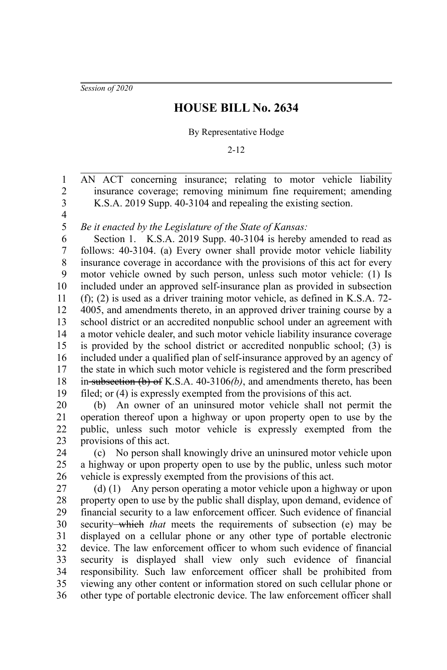*Session of 2020*

## **HOUSE BILL No. 2634**

## By Representative Hodge

2-12

AN ACT concerning insurance; relating to motor vehicle liability insurance coverage; removing minimum fine requirement; amending K.S.A. 2019 Supp. 40-3104 and repealing the existing section. 1 2 3

4 5

*Be it enacted by the Legislature of the State of Kansas:*

Section 1. K.S.A. 2019 Supp. 40-3104 is hereby amended to read as follows: 40-3104. (a) Every owner shall provide motor vehicle liability insurance coverage in accordance with the provisions of this act for every motor vehicle owned by such person, unless such motor vehicle: (1) Is included under an approved self-insurance plan as provided in subsection (f); (2) is used as a driver training motor vehicle, as defined in K.S.A. 72- 4005, and amendments thereto, in an approved driver training course by a school district or an accredited nonpublic school under an agreement with a motor vehicle dealer, and such motor vehicle liability insurance coverage is provided by the school district or accredited nonpublic school; (3) is included under a qualified plan of self-insurance approved by an agency of the state in which such motor vehicle is registered and the form prescribed in subsection (b) of K.S.A. 40-3106*(b)*, and amendments thereto, has been filed; or (4) is expressly exempted from the provisions of this act. 6 7 8 9 10 11 12 13 14 15 16 17 18 19

(b) An owner of an uninsured motor vehicle shall not permit the operation thereof upon a highway or upon property open to use by the public, unless such motor vehicle is expressly exempted from the provisions of this act. 20 21 22 23

(c) No person shall knowingly drive an uninsured motor vehicle upon a highway or upon property open to use by the public, unless such motor vehicle is expressly exempted from the provisions of this act. 24 25 26

(d) (1) Any person operating a motor vehicle upon a highway or upon property open to use by the public shall display, upon demand, evidence of financial security to a law enforcement officer. Such evidence of financial security which *that* meets the requirements of subsection (e) may be displayed on a cellular phone or any other type of portable electronic device. The law enforcement officer to whom such evidence of financial security is displayed shall view only such evidence of financial responsibility. Such law enforcement officer shall be prohibited from viewing any other content or information stored on such cellular phone or other type of portable electronic device. The law enforcement officer shall 27 28 29 30 31 32 33 34 35 36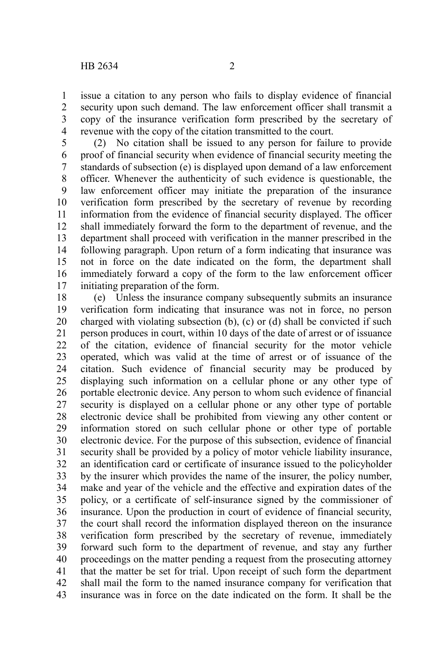issue a citation to any person who fails to display evidence of financial security upon such demand. The law enforcement officer shall transmit a copy of the insurance verification form prescribed by the secretary of revenue with the copy of the citation transmitted to the court. 1 2 3 4

(2) No citation shall be issued to any person for failure to provide proof of financial security when evidence of financial security meeting the standards of subsection (e) is displayed upon demand of a law enforcement officer. Whenever the authenticity of such evidence is questionable, the law enforcement officer may initiate the preparation of the insurance verification form prescribed by the secretary of revenue by recording information from the evidence of financial security displayed. The officer shall immediately forward the form to the department of revenue, and the department shall proceed with verification in the manner prescribed in the following paragraph. Upon return of a form indicating that insurance was not in force on the date indicated on the form, the department shall immediately forward a copy of the form to the law enforcement officer initiating preparation of the form. 5 6 7 8 9 10 11 12 13 14 15 16 17

(e) Unless the insurance company subsequently submits an insurance verification form indicating that insurance was not in force, no person charged with violating subsection (b), (c) or (d) shall be convicted if such person produces in court, within 10 days of the date of arrest or of issuance of the citation, evidence of financial security for the motor vehicle operated, which was valid at the time of arrest or of issuance of the citation. Such evidence of financial security may be produced by displaying such information on a cellular phone or any other type of portable electronic device. Any person to whom such evidence of financial security is displayed on a cellular phone or any other type of portable electronic device shall be prohibited from viewing any other content or information stored on such cellular phone or other type of portable electronic device. For the purpose of this subsection, evidence of financial security shall be provided by a policy of motor vehicle liability insurance, an identification card or certificate of insurance issued to the policyholder by the insurer which provides the name of the insurer, the policy number, make and year of the vehicle and the effective and expiration dates of the policy, or a certificate of self-insurance signed by the commissioner of insurance. Upon the production in court of evidence of financial security, the court shall record the information displayed thereon on the insurance verification form prescribed by the secretary of revenue, immediately forward such form to the department of revenue, and stay any further proceedings on the matter pending a request from the prosecuting attorney that the matter be set for trial. Upon receipt of such form the department shall mail the form to the named insurance company for verification that insurance was in force on the date indicated on the form. It shall be the 18 19 20 21 22 23 24 25 26 27 28 29 30 31 32 33 34 35 36 37 38 39 40 41 42 43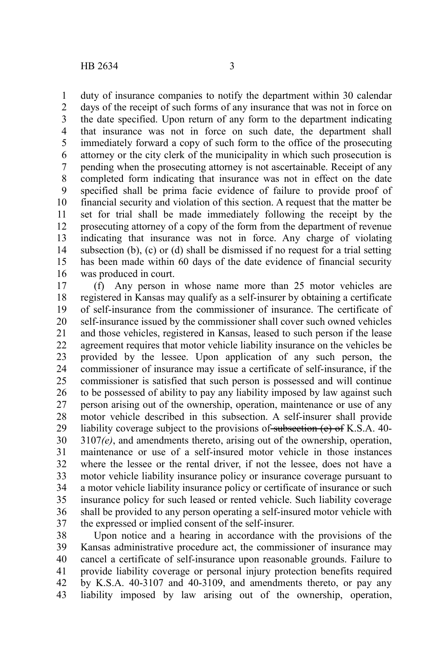duty of insurance companies to notify the department within 30 calendar days of the receipt of such forms of any insurance that was not in force on the date specified. Upon return of any form to the department indicating that insurance was not in force on such date, the department shall immediately forward a copy of such form to the office of the prosecuting attorney or the city clerk of the municipality in which such prosecution is pending when the prosecuting attorney is not ascertainable. Receipt of any completed form indicating that insurance was not in effect on the date specified shall be prima facie evidence of failure to provide proof of financial security and violation of this section. A request that the matter be set for trial shall be made immediately following the receipt by the prosecuting attorney of a copy of the form from the department of revenue indicating that insurance was not in force. Any charge of violating subsection (b), (c) or (d) shall be dismissed if no request for a trial setting has been made within 60 days of the date evidence of financial security was produced in court. 1 2 3 4 5 6 7 8 9 10 11 12 13 14 15 16

(f) Any person in whose name more than 25 motor vehicles are registered in Kansas may qualify as a self-insurer by obtaining a certificate of self-insurance from the commissioner of insurance. The certificate of self-insurance issued by the commissioner shall cover such owned vehicles and those vehicles, registered in Kansas, leased to such person if the lease agreement requires that motor vehicle liability insurance on the vehicles be provided by the lessee. Upon application of any such person, the commissioner of insurance may issue a certificate of self-insurance, if the commissioner is satisfied that such person is possessed and will continue to be possessed of ability to pay any liability imposed by law against such person arising out of the ownership, operation, maintenance or use of any motor vehicle described in this subsection. A self-insurer shall provide liability coverage subject to the provisions of subsection  $(e)$  of K.S.A. 40-3107*(e)*, and amendments thereto, arising out of the ownership, operation, maintenance or use of a self-insured motor vehicle in those instances where the lessee or the rental driver, if not the lessee, does not have a motor vehicle liability insurance policy or insurance coverage pursuant to a motor vehicle liability insurance policy or certificate of insurance or such insurance policy for such leased or rented vehicle. Such liability coverage shall be provided to any person operating a self-insured motor vehicle with the expressed or implied consent of the self-insurer. 17 18 19 20 21 22 23 24 25 26 27 28 29 30 31 32 33 34 35 36 37

Upon notice and a hearing in accordance with the provisions of the Kansas administrative procedure act, the commissioner of insurance may cancel a certificate of self-insurance upon reasonable grounds. Failure to provide liability coverage or personal injury protection benefits required by K.S.A. 40-3107 and 40-3109, and amendments thereto, or pay any liability imposed by law arising out of the ownership, operation, 38 39 40 41 42 43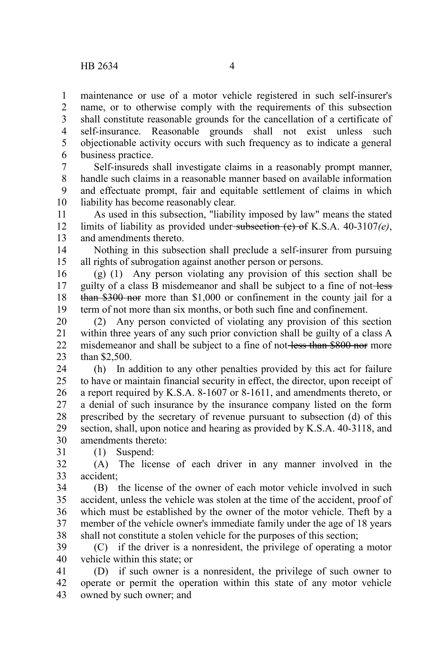maintenance or use of a motor vehicle registered in such self-insurer's name, or to otherwise comply with the requirements of this subsection shall constitute reasonable grounds for the cancellation of a certificate of self-insurance. Reasonable grounds shall not exist unless such objectionable activity occurs with such frequency as to indicate a general business practice. 1 2 3 4 5 6

Self-insureds shall investigate claims in a reasonably prompt manner, handle such claims in a reasonable manner based on available information and effectuate prompt, fair and equitable settlement of claims in which liability has become reasonably clear. 7 8 9 10

As used in this subsection, "liability imposed by law" means the stated limits of liability as provided under subsection (e) of K.S.A. 40-3107*(e)*, and amendments thereto. 11 12 13

Nothing in this subsection shall preclude a self-insurer from pursuing all rights of subrogation against another person or persons. 14 15

(g) (1) Any person violating any provision of this section shall be guilty of a class B misdemeanor and shall be subject to a fine of not-less than \$300 nor more than \$1,000 or confinement in the county jail for a term of not more than six months, or both such fine and confinement. 16 17 18 19

(2) Any person convicted of violating any provision of this section within three years of any such prior conviction shall be guilty of a class A misdemeanor and shall be subject to a fine of not-less than \$800 nor more than \$2,500. 20 21 22 23

(h) In addition to any other penalties provided by this act for failure to have or maintain financial security in effect, the director, upon receipt of a report required by K.S.A. 8-1607 or 8-1611, and amendments thereto, or a denial of such insurance by the insurance company listed on the form prescribed by the secretary of revenue pursuant to subsection (d) of this section, shall, upon notice and hearing as provided by K.S.A. 40-3118, and amendments thereto: 24 25 26 27 28 29 30 31

(1) Suspend:

(A) The license of each driver in any manner involved in the accident; 32 33

(B) the license of the owner of each motor vehicle involved in such accident, unless the vehicle was stolen at the time of the accident, proof of which must be established by the owner of the motor vehicle. Theft by a member of the vehicle owner's immediate family under the age of 18 years shall not constitute a stolen vehicle for the purposes of this section; 34 35 36 37 38

(C) if the driver is a nonresident, the privilege of operating a motor vehicle within this state; or 39 40

(D) if such owner is a nonresident, the privilege of such owner to operate or permit the operation within this state of any motor vehicle owned by such owner; and 41 42 43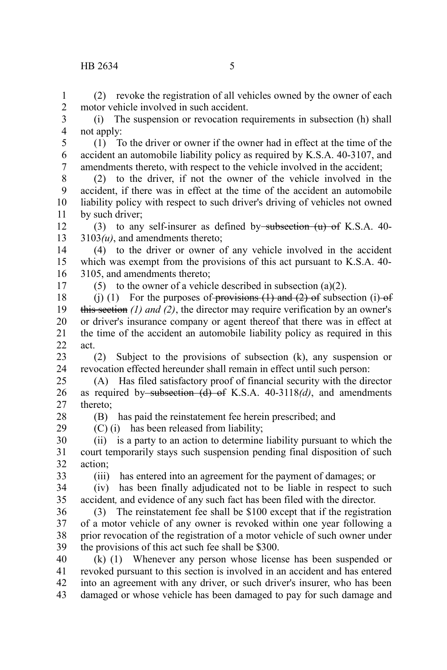(2) revoke the registration of all vehicles owned by the owner of each motor vehicle involved in such accident. 1 2

(i) The suspension or revocation requirements in subsection (h) shall not apply: 3 4

(1) To the driver or owner if the owner had in effect at the time of the accident an automobile liability policy as required by K.S.A. 40-3107, and amendments thereto, with respect to the vehicle involved in the accident; 5 6 7

(2) to the driver, if not the owner of the vehicle involved in the accident, if there was in effect at the time of the accident an automobile liability policy with respect to such driver's driving of vehicles not owned by such driver; 8 9 10 11

(3) to any self-insurer as defined by subsection  $(u)$  of K.S.A. 40-3103*(u)*, and amendments thereto; 12 13

(4) to the driver or owner of any vehicle involved in the accident which was exempt from the provisions of this act pursuant to K.S.A. 40- 3105, and amendments thereto; 14 15 16

17

(5) to the owner of a vehicle described in subsection  $(a)(2)$ .

(j) (1) For the purposes of provisions  $(1)$  and  $(2)$  of subsection (i) of this section *(1) and (2)*, the director may require verification by an owner's or driver's insurance company or agent thereof that there was in effect at the time of the accident an automobile liability policy as required in this act. 18 19 20 21  $22$ 

(2) Subject to the provisions of subsection (k), any suspension or revocation effected hereunder shall remain in effect until such person: 23 24

(A) Has filed satisfactory proof of financial security with the director as required by subsection (d) of K.S.A. 40-3118*(d)*, and amendments thereto; 25 26 27

(B) has paid the reinstatement fee herein prescribed; and

(C) (i) has been released from liability;

(ii) is a party to an action to determine liability pursuant to which the court temporarily stays such suspension pending final disposition of such action; 30 31 32

33

28 29

(iii) has entered into an agreement for the payment of damages; or

(iv) has been finally adjudicated not to be liable in respect to such accident*,* and evidence of any such fact has been filed with the director. 34 35

(3) The reinstatement fee shall be \$100 except that if the registration of a motor vehicle of any owner is revoked within one year following a prior revocation of the registration of a motor vehicle of such owner under the provisions of this act such fee shall be \$300. 36 37 38 39

(k) (1) Whenever any person whose license has been suspended or revoked pursuant to this section is involved in an accident and has entered into an agreement with any driver, or such driver's insurer, who has been damaged or whose vehicle has been damaged to pay for such damage and 40 41 42 43